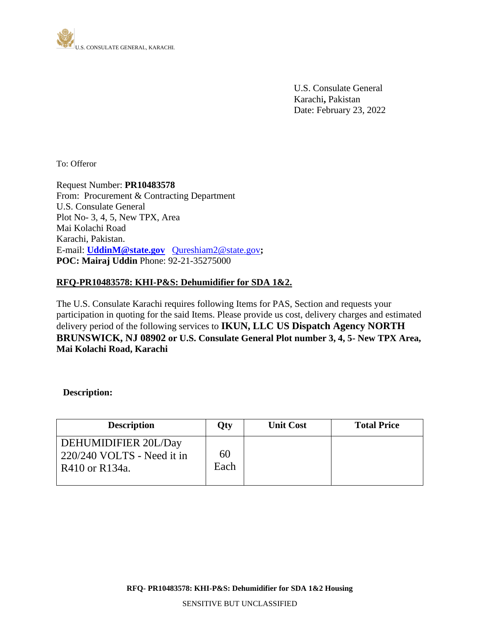

 U.S. Consulate General Karachi**,** Pakistan Date: February 23, 2022

To: Offeror

Request Number: **PR10483578** From: Procurement & Contracting Department U.S. Consulate General Plot No- 3, 4, 5, New TPX, Area Mai Kolachi Road Karachi, Pakistan. E-mail: **UddinM@state.gov** [Qureshiam2@state.gov](mailto:Qureshiam2@state.gov)**; POC: Mairaj Uddin** Phone: 92-21-35275000

# **RFQ-PR10483578: KHI-P&S: Dehumidifier for SDA 1&2.**

The U.S. Consulate Karachi requires following Items for PAS, Section and requests your participation in quoting for the said Items. Please provide us cost, delivery charges and estimated delivery period of the following services to **IKUN, LLC US Dispatch Agency NORTH BRUNSWICK, NJ 08902 or U.S. Consulate General Plot number 3, 4, 5- New TPX Area, Mai Kolachi Road, Karachi**

## **Description:**

| <b>Description</b>                                                                           | Qty        | <b>Unit Cost</b> | <b>Total Price</b> |
|----------------------------------------------------------------------------------------------|------------|------------------|--------------------|
| DEHUMIDIFIER 20L/Day<br>$\frac{1}{220}{\frac{240}{10}}$ VOLTS - Need it in<br>R410 or R134a. | 60<br>Each |                  |                    |

**RFQ- PR10483578: KHI-P&S: Dehumidifier for SDA 1&2 Housing**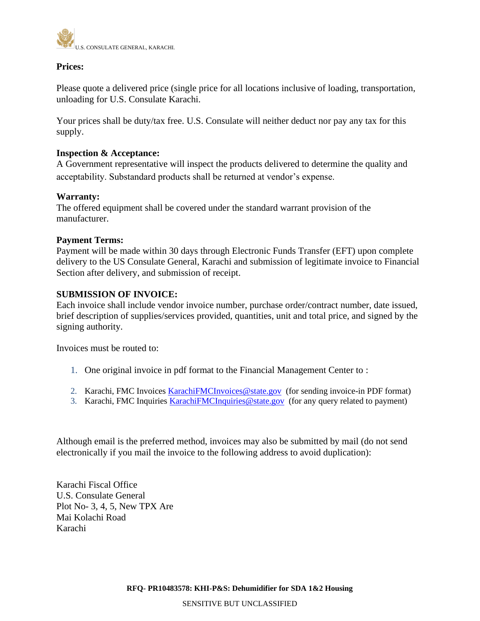

# **Prices:**

Please quote a delivered price (single price for all locations inclusive of loading, transportation, unloading for U.S. Consulate Karachi.

Your prices shall be duty/tax free. U.S. Consulate will neither deduct nor pay any tax for this supply.

## **Inspection & Acceptance:**

A Government representative will inspect the products delivered to determine the quality and acceptability. Substandard products shall be returned at vendor's expense.

#### **Warranty:**

The offered equipment shall be covered under the standard warrant provision of the manufacturer.

## **Payment Terms:**

Payment will be made within 30 days through Electronic Funds Transfer (EFT) upon complete delivery to the US Consulate General, Karachi and submission of legitimate invoice to Financial Section after delivery, and submission of receipt.

## **SUBMISSION OF INVOICE:**

Each invoice shall include vendor invoice number, purchase order/contract number, date issued, brief description of supplies/services provided, quantities, unit and total price, and signed by the signing authority.

Invoices must be routed to:

- 1. One original invoice in pdf format to the Financial Management Center to :
- 2. Karachi, FMC Invoices [KarachiFMCInvoices@state.gov](mailto:KarachiFMCInvoices@state.gov) (for sending invoice-in PDF format)
- 3. Karachi, FMC Inquiries **KarachiFMCInquiries** @state.gov (for any query related to payment)

Although email is the preferred method, invoices may also be submitted by mail (do not send electronically if you mail the invoice to the following address to avoid duplication):

Karachi Fiscal Office U.S. Consulate General Plot No- 3, 4, 5, New TPX Are Mai Kolachi Road Karachi

**RFQ- PR10483578: KHI-P&S: Dehumidifier for SDA 1&2 Housing**

SENSITIVE BUT UNCLASSIFIED